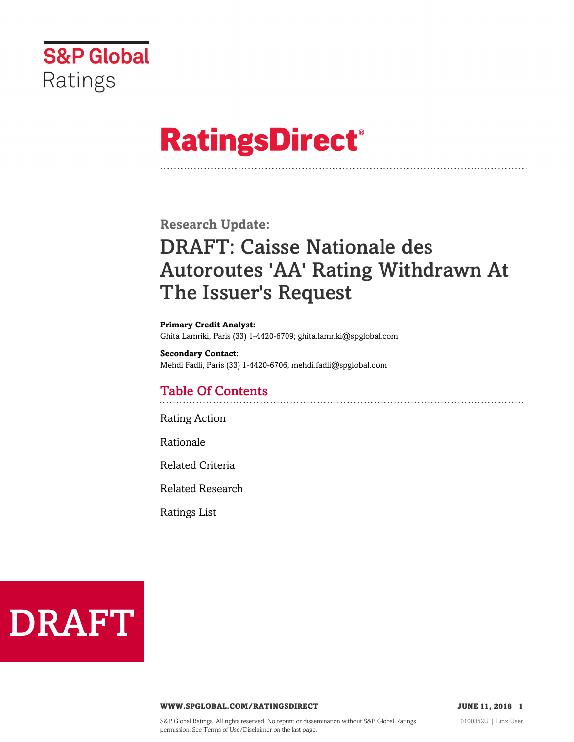

# **RatingsDirect®**

**Research Update:**

## DRAFT: Caisse Nationale des Autoroutes 'AA' Rating Withdrawn At The Issuer's Request

**Primary Credit Analyst:** Ghita Lamriki, Paris (33) 1-4420-6709; ghita.lamriki@spglobal.com

**Secondary Contact:** Mehdi Fadli, Paris (33) 1-4420-6706; mehdi.fadli@spglobal.com

### Table Of Contents

[Rating Action](#page-1-0)

[Rationale](#page-1-1)

[Related Criteria](#page-1-2)

[Related Research](#page-2-0)

[Ratings List](#page-2-1)



#### **WWW.SPGLOBAL.COM/RATINGSDIRECT 1988 JUNE 11, 2018** 1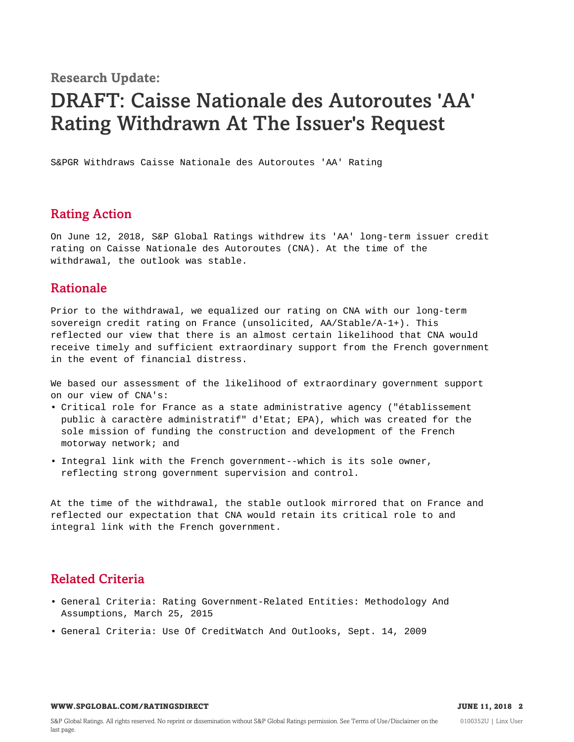**Research Update:**

### DRAFT: Caisse Nationale des Autoroutes 'AA' Rating Withdrawn At The Issuer's Request

S&PGR Withdraws Caisse Nationale des Autoroutes 'AA' Rating

#### <span id="page-1-0"></span>Rating Action

On June 12, 2018, S&P Global Ratings withdrew its 'AA' long-term issuer credit rating on Caisse Nationale des Autoroutes (CNA). At the time of the withdrawal, the outlook was stable.

#### <span id="page-1-1"></span>Rationale

Prior to the withdrawal, we equalized our rating on CNA with our long-term sovereign credit rating on France (unsolicited, AA/Stable/A-1+). This reflected our view that there is an almost certain likelihood that CNA would receive timely and sufficient extraordinary support from the French government in the event of financial distress.

We based our assessment of the likelihood of extraordinary government support on our view of CNA's:

- Critical role for France as a state administrative agency ("établissement public à caractère administratif" d'Etat; EPA), which was created for the sole mission of funding the construction and development of the French motorway network; and
- Integral link with the French government--which is its sole owner, reflecting strong government supervision and control.

At the time of the withdrawal, the stable outlook mirrored that on France and reflected our expectation that CNA would retain its critical role to and integral link with the French government.

#### <span id="page-1-2"></span>Related Criteria

- General Criteria: Rating Government-Related Entities: Methodology And Assumptions, March 25, 2015
- General Criteria: Use Of CreditWatch And Outlooks, Sept. 14, 2009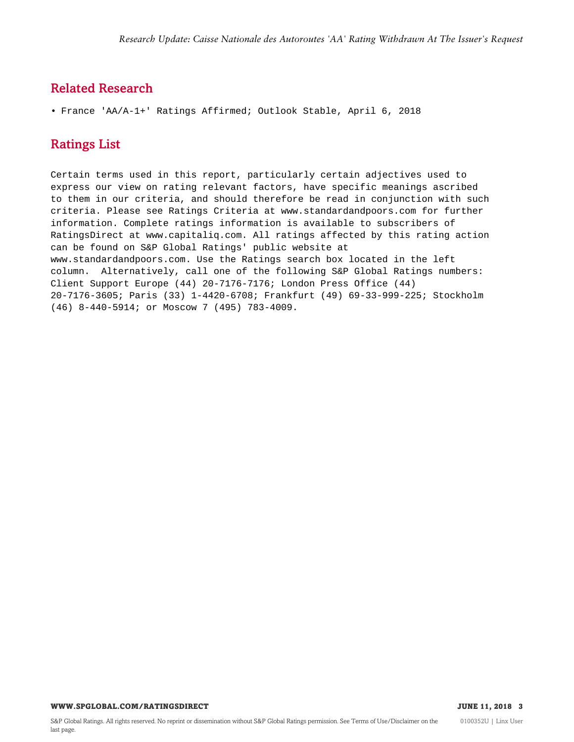#### <span id="page-2-0"></span>Related Research

<span id="page-2-1"></span>• France 'AA/A-1+' Ratings Affirmed; Outlook Stable, April 6, 2018

#### Ratings List

Certain terms used in this report, particularly certain adjectives used to express our view on rating relevant factors, have specific meanings ascribed to them in our criteria, and should therefore be read in conjunction with such criteria. Please see Ratings Criteria at www.standardandpoors.com for further information. Complete ratings information is available to subscribers of RatingsDirect at www.capitaliq.com. All ratings affected by this rating action can be found on S&P Global Ratings' public website at www.standardandpoors.com. Use the Ratings search box located in the left column. Alternatively, call one of the following S&P Global Ratings numbers: Client Support Europe (44) 20-7176-7176; London Press Office (44) 20-7176-3605; Paris (33) 1-4420-6708; Frankfurt (49) 69-33-999-225; Stockholm (46) 8-440-5914; or Moscow 7 (495) 783-4009.